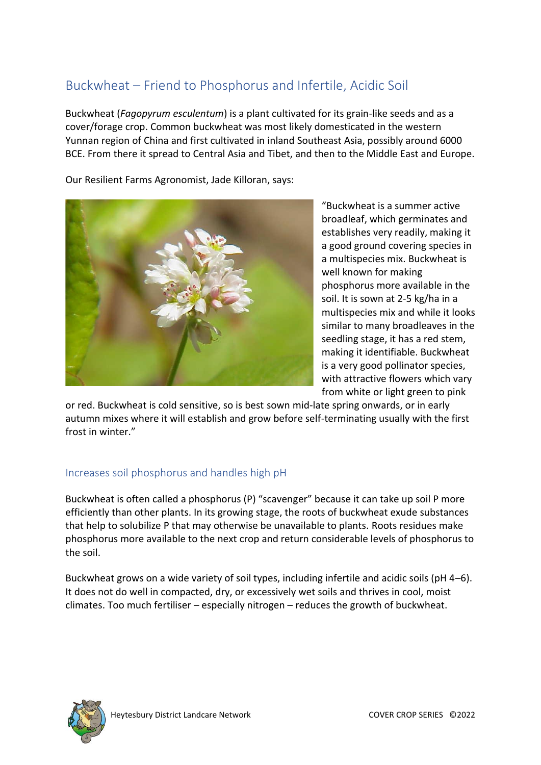# Buckwheat – Friend to Phosphorus and Infertile, Acidic Soil

Buckwheat (*Fagopyrum esculentum*) is a plant cultivated for its grain-like seeds and as a cover/forage crop. Common buckwheat was most likely domesticated in the western Yunnan region of China and first cultivated in inland Southeast Asia, possibly around 6000 BCE. From there it spread to Central Asia and Tibet, and then to the Middle East and Europe.

Our Resilient Farms Agronomist, Jade Killoran, says:



"Buckwheat is a summer active broadleaf, which germinates and establishes very readily, making it a good ground covering species in a multispecies mix. Buckwheat is well known for making phosphorus more available in the soil. It is sown at 2-5 kg/ha in a multispecies mix and while it looks similar to many broadleaves in the seedling stage, it has a red stem, making it identifiable. Buckwheat is a very good pollinator species, with attractive flowers which vary from white or light green to pink

or red. Buckwheat is cold sensitive, so is best sown mid-late spring onwards, or in early autumn mixes where it will establish and grow before self-terminating usually with the first frost in winter."

# Increases soil phosphorus and handles high pH

Buckwheat is often called a phosphorus (P) "scavenger" because it can take up soil P more efficiently than other plants. In its growing stage, the roots of buckwheat exude substances that help to solubilize P that may otherwise be unavailable to plants. Roots residues make phosphorus more available to the next crop and return considerable levels of phosphorus to the soil.

Buckwheat grows on a wide variety of soil types, including infertile and acidic soils (pH 4–6). It does not do well in compacted, dry, or excessively wet soils and thrives in cool, moist climates. Too much fertiliser – especially nitrogen – reduces the growth of buckwheat.

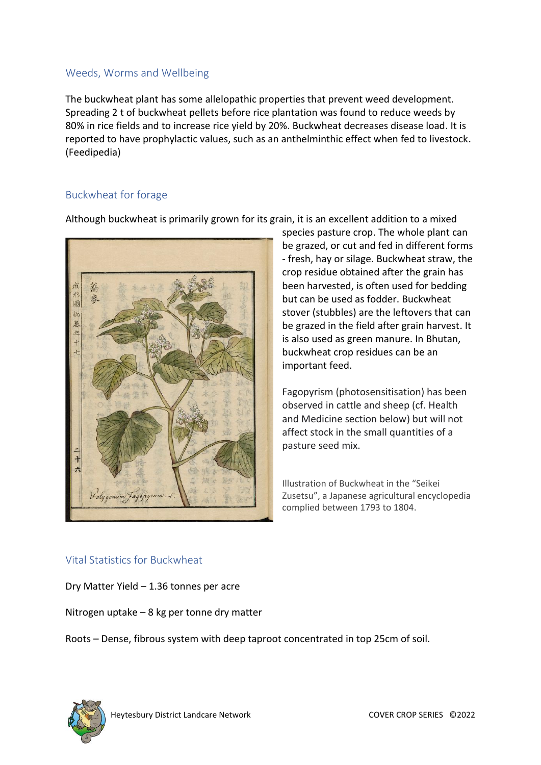#### Weeds, Worms and Wellbeing

The buckwheat plant has some allelopathic properties that prevent weed development. Spreading 2 t of buckwheat pellets before rice plantation was found to reduce weeds by 80% in rice fields and to increase rice yield by 20%. Buckwheat decreases disease load. It is reported to have prophylactic values, such as an anthelminthic effect when fed to livestock. (Feedipedia)

#### Buckwheat for forage

Although buckwheat is primarily grown for its grain, it is an excellent addition to a mixed



species pasture crop. The whole plant can be grazed, or cut and fed in different forms - fresh, hay or silage. Buckwheat straw, the crop residue obtained after the grain has been harvested, is often used for bedding but can be used as fodder. Buckwheat stover (stubbles) are the leftovers that can be grazed in the field after grain harvest. It is also used as green manure. In Bhutan, buckwheat crop residues can be an important feed.

Fagopyrism (photosensitisation) has been observed in cattle and sheep (cf. Health and Medicine section below) but will not affect stock in the small quantities of a pasture seed mix.

Illustration of Buckwheat in the "Seikei Zusetsu", a Japanese agricultural encyclopedia complied between 1793 to 1804.

#### Vital Statistics for Buckwheat

Dry Matter Yield – 1.36 tonnes per acre

Nitrogen uptake – 8 kg per tonne dry matter

Roots – Dense, fibrous system with deep taproot concentrated in top 25cm of soil.

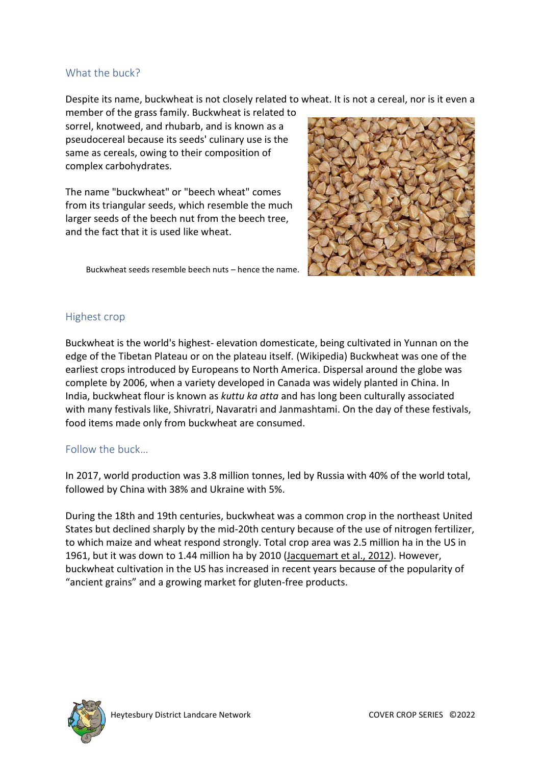#### What the buck?

Despite its name, buckwheat is not closely related to wheat. It is not a cereal, nor is it even a

member of the grass family. Buckwheat is related to sorrel, knotweed, and rhubarb, and is known as a pseudocereal because its seeds' culinary use is the same as cereals, owing to their composition of complex carbohydrates.

The name "buckwheat" or "beech wheat" comes from its triangular seeds, which resemble the much larger seeds of the beech nut from the beech tree, and the fact that it is used like wheat.

Buckwheat seeds resemble beech nuts – hence the name.



#### Highest crop

Buckwheat is the world's highest- elevation domesticate, being cultivated in Yunnan on the edge of the Tibetan Plateau or on the plateau itself. (Wikipedia) Buckwheat was one of the earliest crops introduced by Europeans to North America. Dispersal around the globe was complete by 2006, when a variety developed in Canada was widely planted in China. In India, buckwheat flour is known as *kuttu ka atta* and has long been culturally associated with many festivals like, Shivratri, Navaratri and Janmashtami. On the day of these festivals, food items made only from buckwheat are consumed.

## Follow the buck…

In 2017, world production was 3.8 million tonnes, led by Russia with 40% of the world total, followed by China with 38% and Ukraine with 5%.

During the 18th and 19th centuries, buckwheat was a common crop in the northeast United States but declined sharply by the mid-20th century because of the use of nitrogen fertilizer, to which maize and wheat respond strongly. Total crop area was 2.5 million ha in the US in 1961, but it was down to 1.44 million ha by 2010 [\(Jacquemart et al., 2012\)](https://www.feedipedia.org/node/25448). However, buckwheat cultivation in the US has increased in recent years because of the popularity of "ancient grains" and a growing market for gluten-free products.

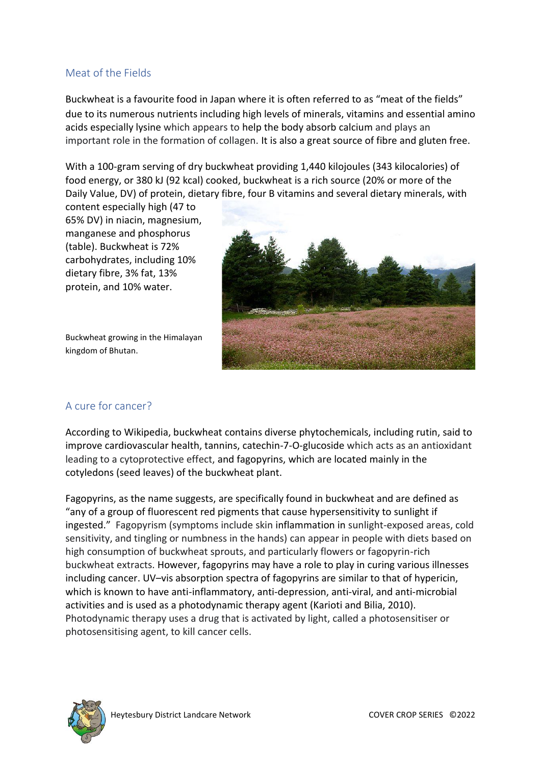#### Meat of the Fields

Buckwheat is a favourite food in Japan where it is often referred to as "meat of the fields" due to its numerous nutrients including high levels of minerals, vitamins and essential amino acids especially lysine which appears to help the body absorb calcium and plays an important role in the formation of collagen. It is also a great source of fibre and gluten free.

With a 100-gram serving of dry buckwheat providing 1,440 kilojoules (343 kilocalories) of food energy, or 380 kJ (92 kcal) cooked, buckwheat is a rich source (20% or more of the Daily Value, DV) of protein, dietary fibre, four B vitamins and several dietary minerals, with

content especially high (47 to 65% DV) in niacin, magnesium, manganese and phosphorus (table). Buckwheat is 72% carbohydrates, including 10% dietary fibre, 3% fat, 13% protein, and 10% water.

Buckwheat growing in the Himalayan kingdom of Bhutan.



# A cure for cancer?

According to Wikipedia, buckwheat contains diverse phytochemicals, including rutin, said to improve cardiovascular health, tannins, catechin-7-O-glucoside which acts as an antioxidant leading to a cytoprotective effect, and fagopyrins, which are located mainly in the cotyledons (seed leaves) of the buckwheat plant.

Fagopyrins, as the name suggests, are specifically found in buckwheat and are defined as "any of a group of fluorescent red pigments that cause hypersensitivity to sunlight if ingested." Fagopyrism (symptoms include skin inflammation in sunlight-exposed areas, cold sensitivity, and tingling or numbness in the hands) can appear in people with diets based on high consumption of buckwheat sprouts, and particularly flowers or fagopyrin-rich buckwheat extracts. However, fagopyrins may have a role to play in curing various illnesses including cancer. UV–vis absorption spectra of fagopyrins are similar to that of hypericin, which is known to have anti-inflammatory, anti-depression, anti-viral, and anti-microbial activities and is used as a photodynamic therapy agent (Karioti and Bilia, 2010). Photodynamic therapy uses a drug that is activated by light, called a photosensitiser or photosensitising agent, to kill cancer cells.